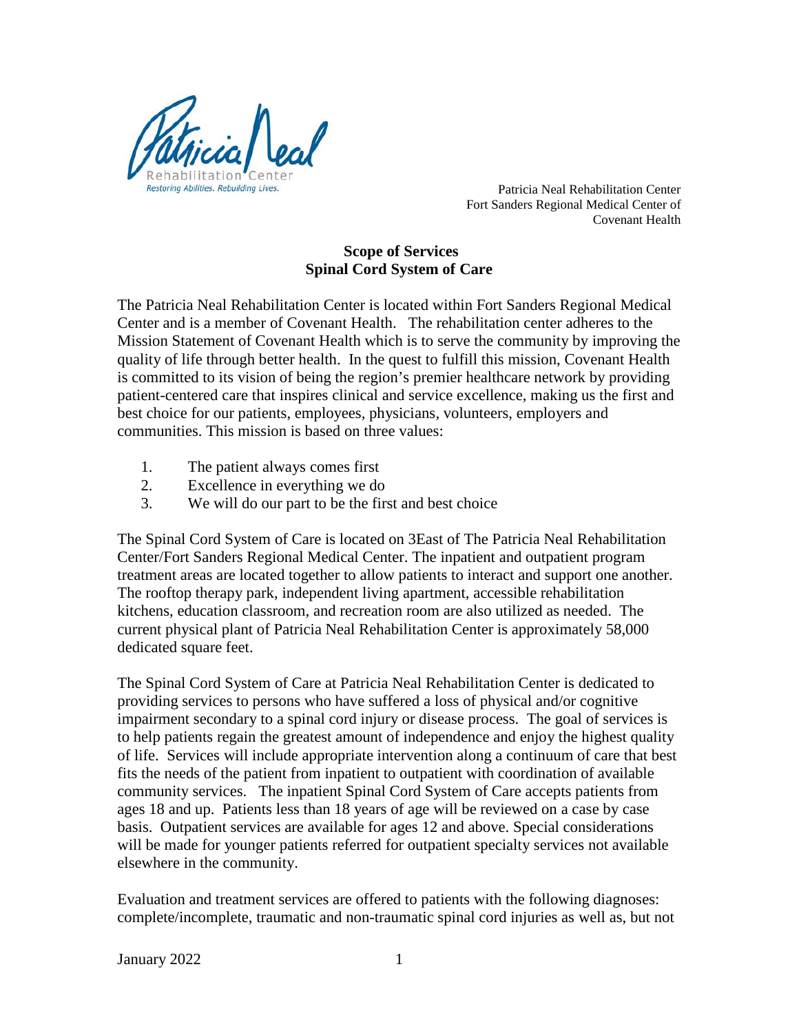

 Patricia Neal Rehabilitation Center Fort Sanders Regional Medical Center of Covenant Health

## **Scope of Services Spinal Cord System of Care**

The Patricia Neal Rehabilitation Center is located within Fort Sanders Regional Medical Center and is a member of Covenant Health. The rehabilitation center adheres to the Mission Statement of Covenant Health which is to serve the community by improving the quality of life through better health. In the quest to fulfill this mission, Covenant Health is committed to its vision of being the region's premier healthcare network by providing patient-centered care that inspires clinical and service excellence, making us the first and best choice for our patients, employees, physicians, volunteers, employers and communities. This mission is based on three values:

- 1. The patient always comes first
- 2. Excellence in everything we do
- 3. We will do our part to be the first and best choice

The Spinal Cord System of Care is located on 3East of The Patricia Neal Rehabilitation Center/Fort Sanders Regional Medical Center. The inpatient and outpatient program treatment areas are located together to allow patients to interact and support one another. The rooftop therapy park, independent living apartment, accessible rehabilitation kitchens, education classroom, and recreation room are also utilized as needed. The current physical plant of Patricia Neal Rehabilitation Center is approximately 58,000 dedicated square feet.

The Spinal Cord System of Care at Patricia Neal Rehabilitation Center is dedicated to providing services to persons who have suffered a loss of physical and/or cognitive impairment secondary to a spinal cord injury or disease process. The goal of services is to help patients regain the greatest amount of independence and enjoy the highest quality of life. Services will include appropriate intervention along a continuum of care that best fits the needs of the patient from inpatient to outpatient with coordination of available community services. The inpatient Spinal Cord System of Care accepts patients from ages 18 and up. Patients less than 18 years of age will be reviewed on a case by case basis. Outpatient services are available for ages 12 and above. Special considerations will be made for younger patients referred for outpatient specialty services not available elsewhere in the community.

Evaluation and treatment services are offered to patients with the following diagnoses: complete/incomplete, traumatic and non-traumatic spinal cord injuries as well as, but not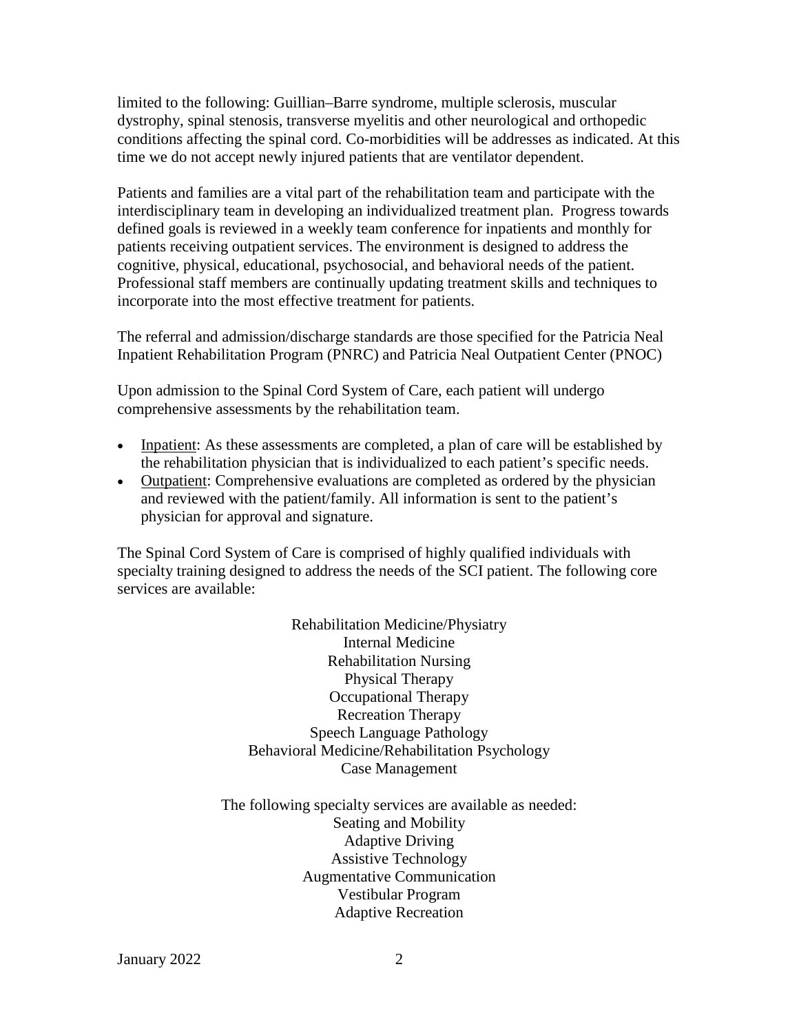limited to the following: Guillian–Barre syndrome, multiple sclerosis, muscular dystrophy, spinal stenosis, transverse myelitis and other neurological and orthopedic conditions affecting the spinal cord. Co-morbidities will be addresses as indicated. At this time we do not accept newly injured patients that are ventilator dependent.

Patients and families are a vital part of the rehabilitation team and participate with the interdisciplinary team in developing an individualized treatment plan. Progress towards defined goals is reviewed in a weekly team conference for inpatients and monthly for patients receiving outpatient services. The environment is designed to address the cognitive, physical, educational, psychosocial, and behavioral needs of the patient. Professional staff members are continually updating treatment skills and techniques to incorporate into the most effective treatment for patients.

The referral and admission/discharge standards are those specified for the Patricia Neal Inpatient Rehabilitation Program (PNRC) and Patricia Neal Outpatient Center (PNOC)

Upon admission to the Spinal Cord System of Care, each patient will undergo comprehensive assessments by the rehabilitation team.

- Inpatient: As these assessments are completed, a plan of care will be established by the rehabilitation physician that is individualized to each patient's specific needs.
- Outpatient: Comprehensive evaluations are completed as ordered by the physician and reviewed with the patient/family. All information is sent to the patient's physician for approval and signature.

The Spinal Cord System of Care is comprised of highly qualified individuals with specialty training designed to address the needs of the SCI patient. The following core services are available:

> Rehabilitation Medicine/Physiatry Internal Medicine Rehabilitation Nursing Physical Therapy Occupational Therapy Recreation Therapy Speech Language Pathology Behavioral Medicine/Rehabilitation Psychology Case Management

The following specialty services are available as needed: Seating and Mobility Adaptive Driving Assistive Technology Augmentative Communication Vestibular Program Adaptive Recreation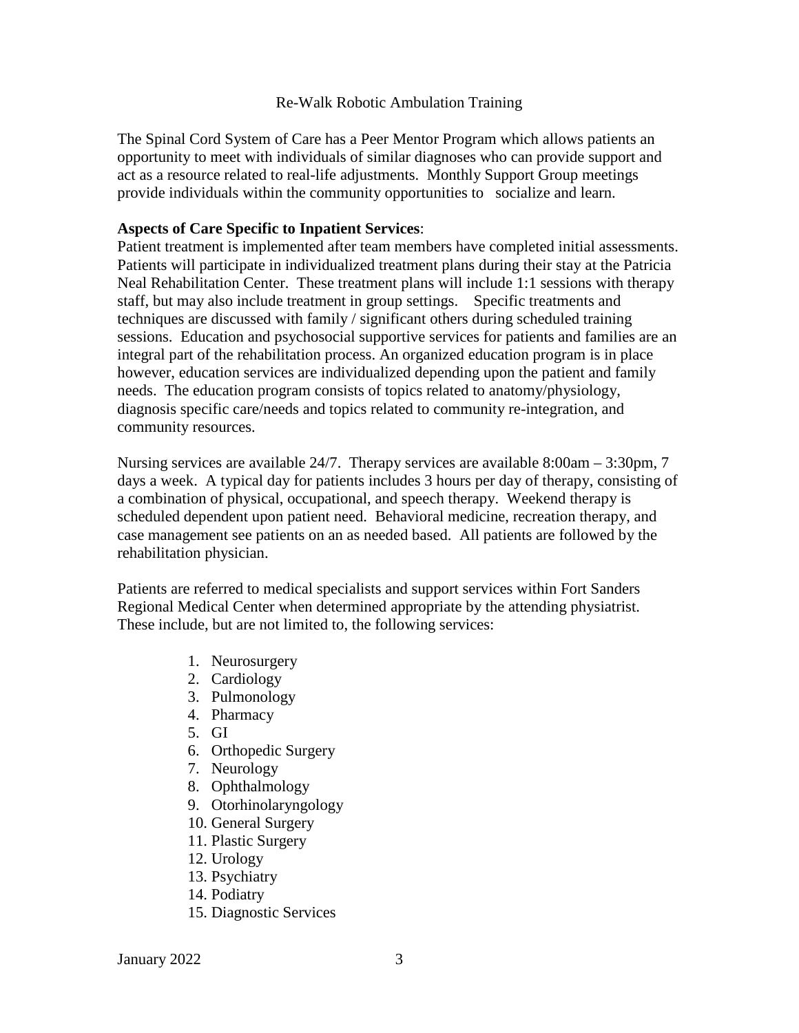## Re-Walk Robotic Ambulation Training

The Spinal Cord System of Care has a Peer Mentor Program which allows patients an opportunity to meet with individuals of similar diagnoses who can provide support and act as a resource related to real-life adjustments. Monthly Support Group meetings provide individuals within the community opportunities to socialize and learn.

## **Aspects of Care Specific to Inpatient Services**:

Patient treatment is implemented after team members have completed initial assessments. Patients will participate in individualized treatment plans during their stay at the Patricia Neal Rehabilitation Center. These treatment plans will include 1:1 sessions with therapy staff, but may also include treatment in group settings. Specific treatments and techniques are discussed with family / significant others during scheduled training sessions. Education and psychosocial supportive services for patients and families are an integral part of the rehabilitation process. An organized education program is in place however, education services are individualized depending upon the patient and family needs. The education program consists of topics related to anatomy/physiology, diagnosis specific care/needs and topics related to community re-integration, and community resources.

Nursing services are available 24/7. Therapy services are available 8:00am – 3:30pm, 7 days a week. A typical day for patients includes 3 hours per day of therapy, consisting of a combination of physical, occupational, and speech therapy. Weekend therapy is scheduled dependent upon patient need. Behavioral medicine, recreation therapy, and case management see patients on an as needed based. All patients are followed by the rehabilitation physician.

Patients are referred to medical specialists and support services within Fort Sanders Regional Medical Center when determined appropriate by the attending physiatrist. These include, but are not limited to, the following services:

- 1. Neurosurgery
- 2. Cardiology
- 3. Pulmonology
- 4. Pharmacy
- 5. GI
- 6. Orthopedic Surgery
- 7. Neurology
- 8. Ophthalmology
- 9. Otorhinolaryngology
- 10. General Surgery
- 11. Plastic Surgery
- 12. Urology
- 13. Psychiatry
- 14. Podiatry
- 15. Diagnostic Services

January 2022 3